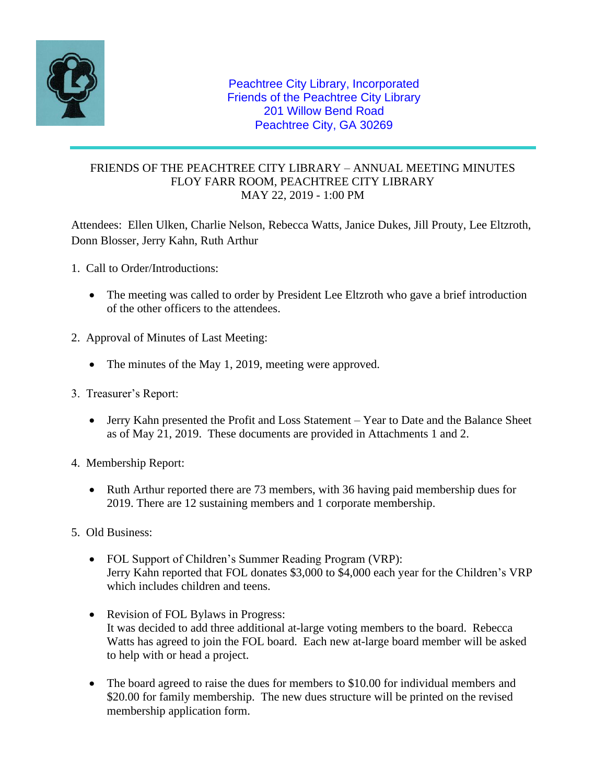

## FRIENDS OF THE PEACHTREE CITY LIBRARY – ANNUAL MEETING MINUTES FLOY FARR ROOM, PEACHTREE CITY LIBRARY MAY 22, 2019 - 1:00 PM

Attendees: Ellen Ulken, Charlie Nelson, Rebecca Watts, Janice Dukes, Jill Prouty, Lee Eltzroth, Donn Blosser, Jerry Kahn, Ruth Arthur

- 1. Call to Order/Introductions:
	- The meeting was called to order by President Lee Eltzroth who gave a brief introduction of the other officers to the attendees.
- 2. Approval of Minutes of Last Meeting:
	- The minutes of the May 1, 2019, meeting were approved.
- 3. Treasurer's Report:
	- Jerry Kahn presented the Profit and Loss Statement Year to Date and the Balance Sheet as of May 21, 2019. These documents are provided in Attachments 1 and 2.
- 4. Membership Report:
	- Ruth Arthur reported there are 73 members, with 36 having paid membership dues for 2019. There are 12 sustaining members and 1 corporate membership.
- 5. Old Business:
	- FOL Support of Children's Summer Reading Program (VRP): Jerry Kahn reported that FOL donates \$3,000 to \$4,000 each year for the Children's VRP which includes children and teens.
	- Revision of FOL Bylaws in Progress: It was decided to add three additional at-large voting members to the board. Rebecca Watts has agreed to join the FOL board. Each new at-large board member will be asked to help with or head a project.
	- The board agreed to raise the dues for members to \$10.00 for individual members and \$20.00 for family membership. The new dues structure will be printed on the revised membership application form.